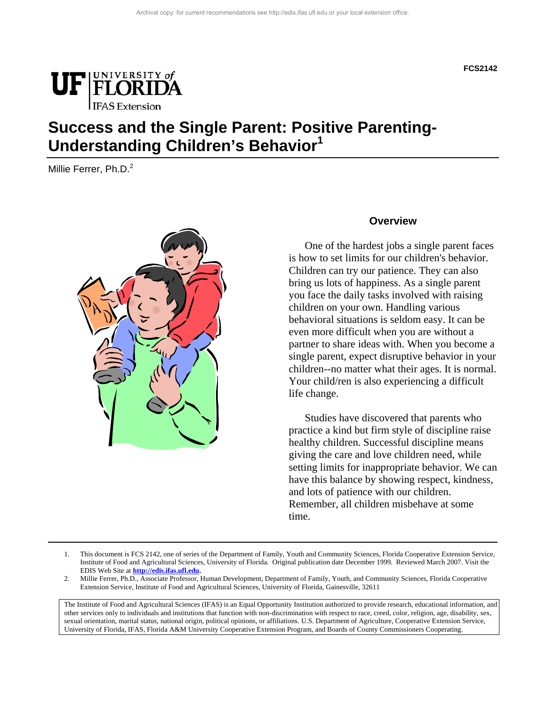

## **Success and the Single Parent: Positive Parenting-Understanding Children's Behavior<sup>1</sup>**

Millie Ferrer, Ph.D.<sup>2</sup>



#### **Overview**

 One of the hardest jobs a single parent faces is how to set limits for our children's behavior. Children can try our patience. They can also bring us lots of happiness. As a single parent you face the daily tasks involved with raising children on your own. Handling various behavioral situations is seldom easy. It can be even more difficult when you are without a partner to share ideas with. When you become a single parent, expect disruptive behavior in your children--no matter what their ages. It is normal. Your child/ren is also experiencing a difficult life change.

 Studies have discovered that parents who practice a kind but firm style of discipline raise healthy children. Successful discipline means giving the care and love children need, while setting limits for inappropriate behavior. We can have this balance by showing respect, kindness, and lots of patience with our children. Remember, all children misbehave at some time.

The Institute of Food and Agricultural Sciences (IFAS) is an Equal Opportunity Institution authorized to provide research, educational information, and other services only to individuals and institutions that function with non-discrimination with respect to race, creed, color, religion, age, disability, sex, sexual orientation, marital status, national origin, political opinions, or affiliations. U.S. Department of Agriculture, Cooperative Extension Service, University of Florida, IFAS, Florida A&M University Cooperative Extension Program, and Boards of County Commissioners Cooperating.

<sup>1.</sup> This document is FCS 2142, one of series of the Department of Family, Youth and Community Sciences, Florida Cooperative Extension Service, Institute of Food and Agricultural Sciences, University of Florida. Original publication date December 1999. Reviewed March 2007. Visit the EDIS Web Site at **http://edis.ifas.ufl.edu.** 

<sup>2.</sup> Millie Ferrer, Ph.D., Associate Professor, Human Development, Department of Family, Youth, and Community Sciences, Florida Cooperative Extension Service, Institute of Food and Agricultural Sciences, University of Florida, Gainesville, 32611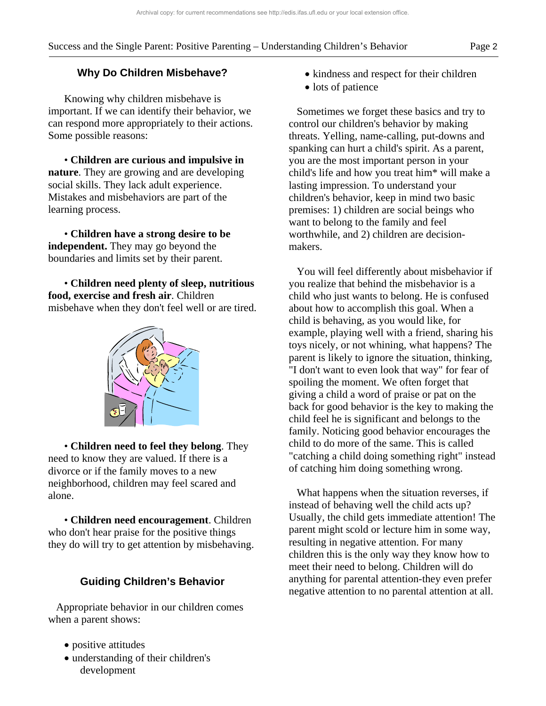### **Why Do Children Misbehave?**

 Knowing why children misbehave is important. If we can identify their behavior, we can respond more appropriately to their actions. Some possible reasons:

 • **Children are curious and impulsive in nature**. They are growing and are developing social skills. They lack adult experience. Mistakes and misbehaviors are part of the learning process.

 • **Children have a strong desire to be independent.** They may go beyond the boundaries and limits set by their parent.

 • **Children need plenty of sleep, nutritious food, exercise and fresh air**. Children misbehave when they don't feel well or are tired.



 • **Children need to feel they belong**. They need to know they are valued. If there is a divorce or if the family moves to a new neighborhood, children may feel scared and alone.

 • **Children need encouragement**. Children who don't hear praise for the positive things they do will try to get attention by misbehaving.

## **Guiding Children's Behavior**

 Appropriate behavior in our children comes when a parent shows:

- positive attitudes
- understanding of their children's development
- kindness and respect for their children
- lots of patience

 Sometimes we forget these basics and try to control our children's behavior by making threats. Yelling, name-calling, put-downs and spanking can hurt a child's spirit. As a parent, you are the most important person in your child's life and how you treat him\* will make a lasting impression. To understand your children's behavior, keep in mind two basic premises: 1) children are social beings who want to belong to the family and feel worthwhile, and 2) children are decisionmakers.

 You will feel differently about misbehavior if you realize that behind the misbehavior is a child who just wants to belong. He is confused about how to accomplish this goal. When a child is behaving, as you would like, for example, playing well with a friend, sharing his toys nicely, or not whining, what happens? The parent is likely to ignore the situation, thinking, "I don't want to even look that way" for fear of spoiling the moment. We often forget that giving a child a word of praise or pat on the back for good behavior is the key to making the child feel he is significant and belongs to the family. Noticing good behavior encourages the child to do more of the same. This is called "catching a child doing something right" instead of catching him doing something wrong.

 What happens when the situation reverses, if instead of behaving well the child acts up? Usually, the child gets immediate attention! The parent might scold or lecture him in some way, resulting in negative attention. For many children this is the only way they know how to meet their need to belong. Children will do anything for parental attention-they even prefer negative attention to no parental attention at all.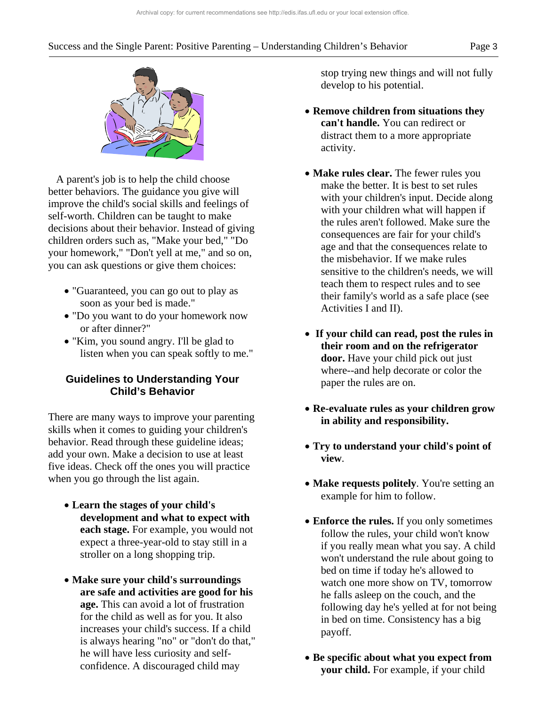#### Success and the Single Parent: Positive Parenting – Understanding Children's Behavior Page 3



 A parent's job is to help the child choose better behaviors. The guidance you give will improve the child's social skills and feelings of self-worth. Children can be taught to make decisions about their behavior. Instead of giving children orders such as, "Make your bed," "Do your homework," "Don't yell at me," and so on, you can ask questions or give them choices:

- "Guaranteed, you can go out to play as soon as your bed is made."
- "Do you want to do your homework now or after dinner?"
- "Kim, you sound angry. I'll be glad to listen when you can speak softly to me."

#### **Guidelines to Understanding Your Child's Behavior**

There are many ways to improve your parenting skills when it comes to guiding your children's behavior. Read through these guideline ideas; add your own. Make a decision to use at least five ideas. Check off the ones you will practice when you go through the list again.

- **Learn the stages of your child's development and what to expect with each stage.** For example, you would not expect a three-year-old to stay still in a stroller on a long shopping trip.
- **Make sure your child's surroundings are safe and activities are good for his age.** This can avoid a lot of frustration for the child as well as for you. It also increases your child's success. If a child is always hearing "no" or "don't do that," he will have less curiosity and selfconfidence. A discouraged child may

stop trying new things and will not fully develop to his potential.

- **Remove children from situations they can't handle.** You can redirect or distract them to a more appropriate activity.
- **Make rules clear.** The fewer rules you make the better. It is best to set rules with your children's input. Decide along with your children what will happen if the rules aren't followed. Make sure the consequences are fair for your child's age and that the consequences relate to the misbehavior. If we make rules sensitive to the children's needs, we will teach them to respect rules and to see their family's world as a safe place (see Activities I and II).
- **If your child can read, post the rules in their room and on the refrigerator door.** Have your child pick out just where--and help decorate or color the paper the rules are on.
- **Re-evaluate rules as your children grow in ability and responsibility.**
- **Try to understand your child's point of view**.
- **Make requests politely**. You're setting an example for him to follow.
- **Enforce the rules.** If you only sometimes follow the rules, your child won't know if you really mean what you say. A child won't understand the rule about going to bed on time if today he's allowed to watch one more show on TV, tomorrow he falls asleep on the couch, and the following day he's yelled at for not being in bed on time. Consistency has a big payoff.
- **Be specific about what you expect from your child.** For example, if your child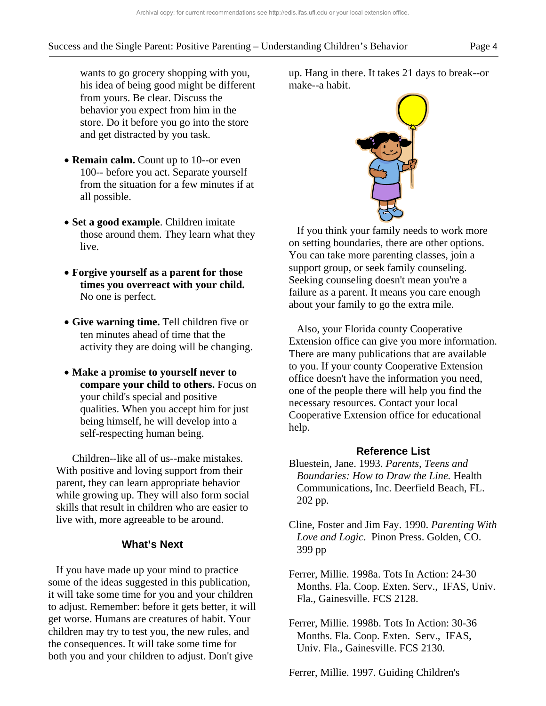- **Remain calm.** Count up to 10--or even 100-- before you act. Separate yourself from the situation for a few minutes if at all possible.
- **Set a good example**. Children imitate those around them. They learn what they live.
- **Forgive yourself as a parent for those times you overreact with your child.** No one is perfect.
- **Give warning time.** Tell children five or ten minutes ahead of time that the activity they are doing will be changing.
- **Make a promise to yourself never to compare your child to others.** Focus on your child's special and positive qualities. When you accept him for just being himself, he will develop into a self-respecting human being.

 Children--like all of us--make mistakes. With positive and loving support from their parent, they can learn appropriate behavior while growing up. They will also form social skills that result in children who are easier to live with, more agreeable to be around.

#### **What's Next**

 If you have made up your mind to practice some of the ideas suggested in this publication, it will take some time for you and your children to adjust. Remember: before it gets better, it will get worse. Humans are creatures of habit. Your children may try to test you, the new rules, and the consequences. It will take some time for both you and your children to adjust. Don't give

up. Hang in there. It takes 21 days to break--or make--a habit.

#### **Reference List**

- Bluestein, Jane. 1993. *Parents, Teens and Boundaries: How to Draw the Line.* Health Communications, Inc. Deerfield Beach, FL. 202 pp.
- Cline, Foster and Jim Fay. 1990. *Parenting With Love and Logic*. Pinon Press. Golden, CO. 399 pp
- Ferrer, Millie. 1998a. Tots In Action: 24-30 Months. Fla. Coop. Exten. Serv., IFAS, Univ. Fla., Gainesville. FCS 2128.
- Ferrer, Millie. 1998b. Tots In Action: 30-36 Months. Fla. Coop. Exten. Serv., IFAS, Univ. Fla., Gainesville. FCS 2130.

Ferrer, Millie. 1997. Guiding Children's



 If you think your family needs to work more on setting boundaries, there are other options. You can take more parenting classes, join a support group, or seek family counseling. Seeking counseling doesn't mean you're a failure as a parent. It means you care enough

about your family to go the extra mile.

help.

Also, your Florida county Cooperative

Extension office can give you more information. There are many publications that are available to you. If your county Cooperative Extension office doesn't have the information you need, one of the people there will help you find the necessary resources. Contact your local Cooperative Extension office for educational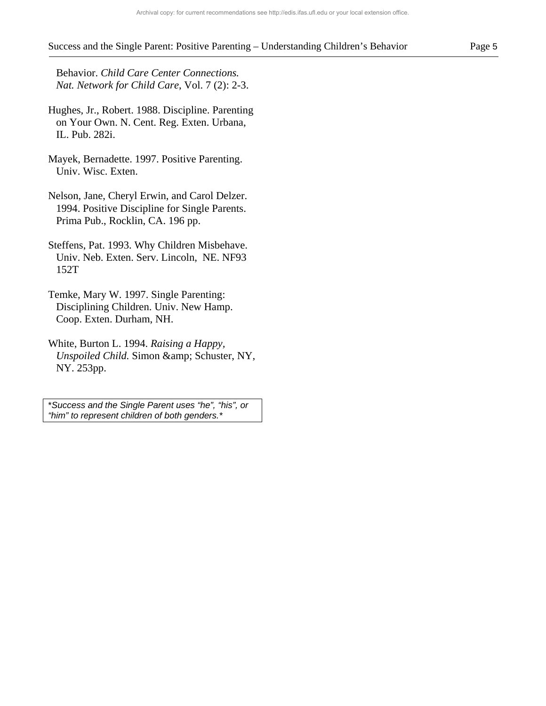#### Success and the Single Parent: Positive Parenting – Understanding Children's Behavior Page 5

 Behavior. *Child Care Center Connections. Nat. Network for Child Care*, Vol. 7 (2): 2-3.

- Hughes, Jr., Robert. 1988. Discipline. Parenting on Your Own. N. Cent. Reg. Exten. Urbana, IL. Pub. 282i.
- Mayek, Bernadette. 1997. Positive Parenting. Univ. Wisc. Exten.
- Nelson, Jane, Cheryl Erwin, and Carol Delzer. 1994. Positive Discipline for Single Parents. Prima Pub., Rocklin, CA. 196 pp.
- Steffens, Pat. 1993. Why Children Misbehave. Univ. Neb. Exten. Serv. Lincoln, NE. NF93 152T
- Temke, Mary W. 1997. Single Parenting: Disciplining Children. Univ. New Hamp. Coop. Exten. Durham, NH.
- White, Burton L. 1994. *Raising a Happy, Unspoiled Child.* Simon & amp; Schuster, NY, NY. 253pp.

\**Success and the Single Parent uses "he", "his", or "him" to represent children of both genders.\**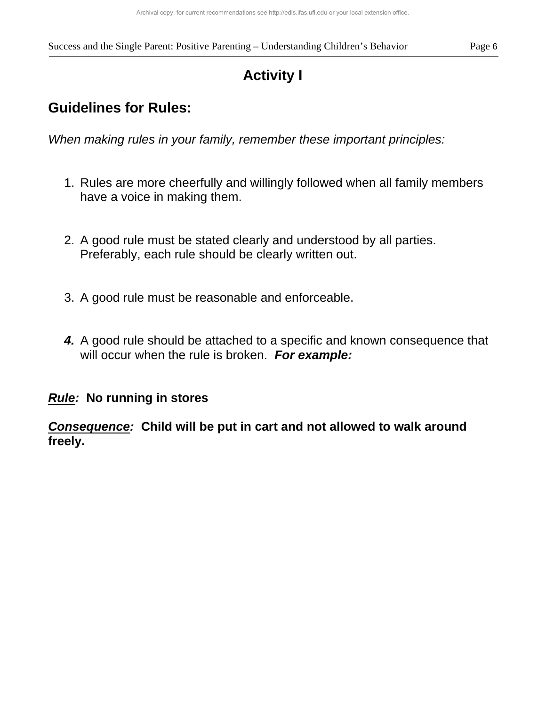# **Activity I**

## **Guidelines for Rules:**

*When making rules in your family, remember these important principles:* 

- 1. Rules are more cheerfully and willingly followed when all family members have a voice in making them.
- 2. A good rule must be stated clearly and understood by all parties. Preferably, each rule should be clearly written out.
- 3. A good rule must be reasonable and enforceable.
- *4.* A good rule should be attached to a specific and known consequence that will occur when the rule is broken. *For example:*

## *Rule:* **No running in stores**

*Consequence:* **Child will be put in cart and not allowed to walk around freely.**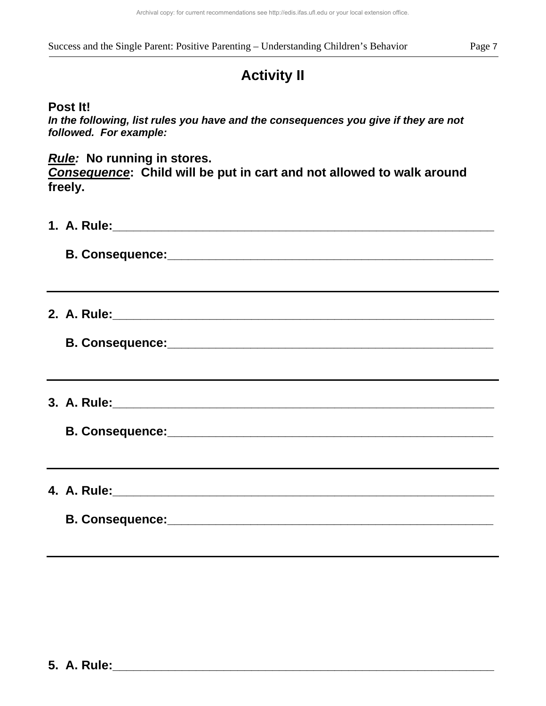# **Activity II**

## **Post It!**

*In the following, list rules you have and the consequences you give if they are not followed. For example:* 

## *Rule:* **No running in stores.**

*Consequence***: Child will be put in cart and not allowed to walk around freely.** 

| ,我们也不会有什么?""我们的人,我们也不会有什么?""我们的人,我们也不会有什么?""我们的人,我们也不会有什么?""我们的人,我们也不会有什么?""我们的人 |  |  |
|----------------------------------------------------------------------------------|--|--|
| ,我们也不会有什么。""我们的人,我们也不会有什么?""我们的人,我们也不会有什么?""我们的人,我们也不会有什么?""我们的人,我们也不会有什么?""我们的人 |  |  |
|                                                                                  |  |  |
|                                                                                  |  |  |